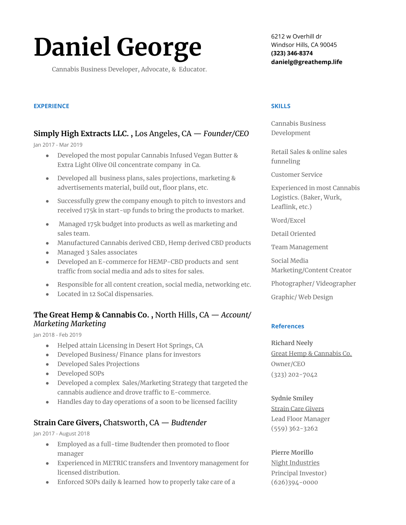# **Daniel George**

Cannabis Business Developer, Advocate, & Educator.

## 6212 w Overhill dr Windsor Hills, CA 90045 **(323) 346-8374 danielg@greathemp.life**

## **EXPERIENCE**

# **Simply High Extracts LLC. ,** Los Angeles, CA — *Founder/CEO*

#### Jan 2017 - Mar 2019

- Developed the most popular Cannabis Infused Vegan Butter & Extra Light Olive Oil concentrate company in Ca.
- Developed all business plans, sales projections, marketing & advertisements material, build out, floor plans, etc.
- Successfully grew the company enough to pitch to investors and received 175k in start-up funds to bring the products to market.
- Managed 175k budget into products as well as marketing and sales team.
- Manufactured Cannabis derived CBD, Hemp derived CBD products
- Managed 3 Sales associates
- Developed an E-commerce for HEMP-CBD products and sent traffic from social media and ads to sites for sales.
- Responsible for all content creation, social media, networking etc.
- Located in 12 SoCal dispensaries.

## **The Great Hemp & Cannabis Co. ,** North Hills, CA — *Account/ Marketing Marketing*

#### Jan 2018 - Feb 2019

- Helped attain Licensing in Desert Hot Springs, CA
- Developed Business/ Finance plans for investors
- Developed Sales Projections
- Developed SOPs
- Developed a complex Sales/Marketing Strategy that targeted the cannabis audience and drove traffic to E-commerce.
- Handles day to day operations of a soon to be licensed facility

## **Strain Care Givers,** Chatsworth, CA — *Budtender*

Jan 2017 - August 2018

- Employed as a full-time Budtender then promoted to floor manager
- Experienced in METRIC transfers and Inventory management for licensed distribution.
- Enforced SOPs daily & learned how to properly take care of a

### **SKILLS**

Cannabis Business Development

Retail Sales & online sales funneling

Customer Service

Experienced in most Cannabis Logistics. (Baker, Wurk, Leaflink, etc.)

Word/Excel

Detail Oriented

Team Management

Social Media

Marketing/Content Creator

Photographer/ Videographer

Graphic/ Web Design

## **References**

**Richard Neely** Great Hemp & Cannabis Co. Owner/CEO (323) 202-7042

## **Sydnie Smiley**

Strain Care Givers Lead Floor Manager (559) 362-3262

**Pierre Morillo** Night Industries Principal Investor) (626)394-0000